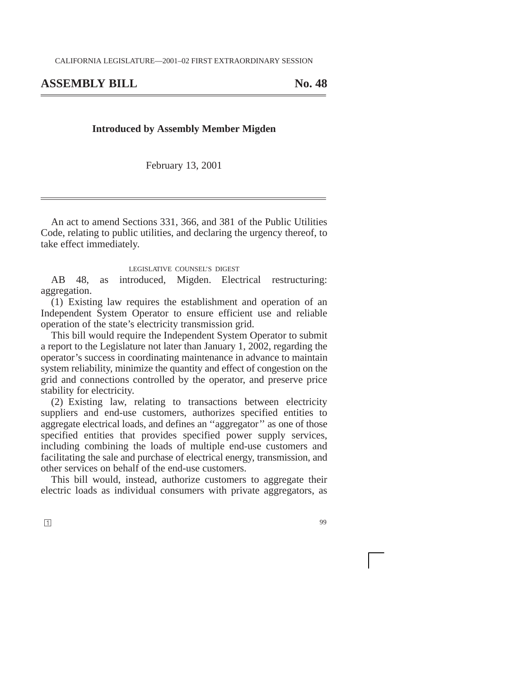## **ASSEMBLY BILL No. 48**

## **Introduced by Assembly Member Migden**

February 13, 2001

An act to amend Sections 331, 366, and 381 of the Public Utilities Code, relating to public utilities, and declaring the urgency thereof, to take effect immediately.

## LEGISLATIVE COUNSEL'S DIGEST

AB 48, as introduced, Migden. Electrical restructuring: aggregation.

(1) Existing law requires the establishment and operation of an Independent System Operator to ensure efficient use and reliable operation of the state's electricity transmission grid.

This bill would require the Independent System Operator to submit a report to the Legislature not later than January 1, 2002, regarding the operator's success in coordinating maintenance in advance to maintain system reliability, minimize the quantity and effect of congestion on the grid and connections controlled by the operator, and preserve price stability for electricity.

(2) Existing law, relating to transactions between electricity suppliers and end-use customers, authorizes specified entities to aggregate electrical loads, and defines an ''aggregator'' as one of those specified entities that provides specified power supply services, including combining the loads of multiple end-use customers and facilitating the sale and purchase of electrical energy, transmission, and other services on behalf of the end-use customers.

This bill would, instead, authorize customers to aggregate their electric loads as individual consumers with private aggregators, as

**1**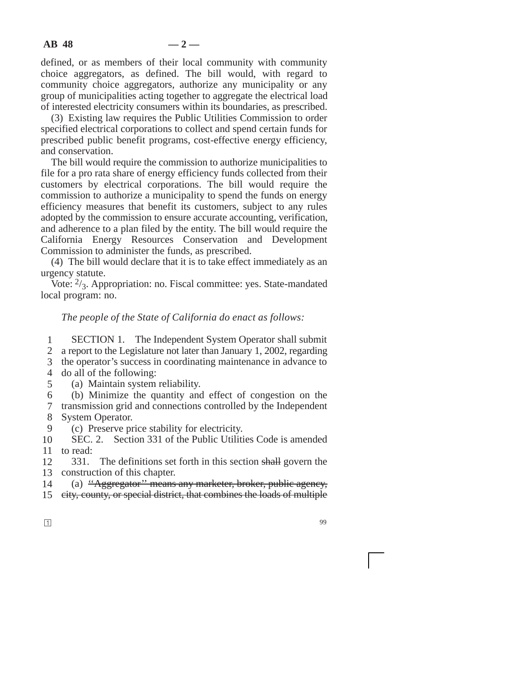defined, or as members of their local community with community choice aggregators, as defined. The bill would, with regard to community choice aggregators, authorize any municipality or any group of municipalities acting together to aggregate the electrical load of interested electricity consumers within its boundaries, as prescribed.

(3) Existing law requires the Public Utilities Commission to order specified electrical corporations to collect and spend certain funds for prescribed public benefit programs, cost-effective energy efficiency, and conservation.

The bill would require the commission to authorize municipalities to file for a pro rata share of energy efficiency funds collected from their customers by electrical corporations. The bill would require the commission to authorize a municipality to spend the funds on energy efficiency measures that benefit its customers, subject to any rules adopted by the commission to ensure accurate accounting, verification, and adherence to a plan filed by the entity. The bill would require the California Energy Resources Conservation and Development Commission to administer the funds, as prescribed.

(4) The bill would declare that it is to take effect immediately as an urgency statute.

Vote:  $\frac{2}{3}$ . Appropriation: no. Fiscal committee: yes. State-mandated local program: no.

## *The people of the State of California do enact as follows:*

1 SECTION 1. The Independent System Operator shall submit

2 a report to the Legislature not later than January 1, 2002, regarding

3 the operator's success in coordinating maintenance in advance to

- 4 do all of the following:
	- (a) Maintain system reliability.

6 (b) Minimize the quantity and effect of congestion on the

7 8 transmission grid and connections controlled by the Independent System Operator.

9 (c) Preserve price stability for electricity.

10 11 to read: SEC. 2. Section 331 of the Public Utilities Code is amended

12 13 construction of this chapter. 331. The definitions set forth in this section shall govern the

14 (a) "Aggregator" means any marketer, broker, public agency,

15 city, county, or special district, that combines the loads of multiple

5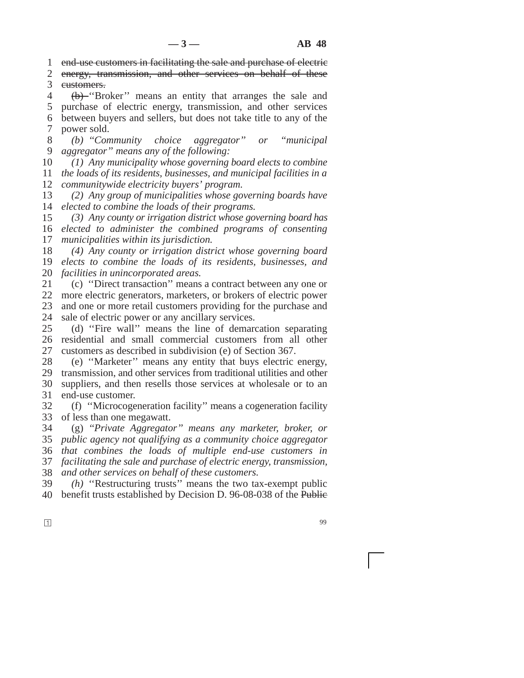1 end-use customers in facilitating the sale and purchase of electric

2 3 energy, transmission, and other services on behalf of these customers.

4 5 6 7 (b) ''Broker'' means an entity that arranges the sale and purchase of electric energy, transmission, and other services between buyers and sellers, but does not take title to any of the power sold.

8 9 *(b) ''Community choice aggregator'' or ''municipal aggregator'' means any of the following:*

10 11 12 *(1) Any municipality whose governing board elects to combine the loads of its residents, businesses, and municipal facilities in a communitywide electricity buyers' program.*

13 14 *(2) Any group of municipalities whose governing boards have elected to combine the loads of their programs.*

15 16 17 *(3) Any county or irrigation district whose governing board has elected to administer the combined programs of consenting municipalities within its jurisdiction.*

18 19 20 *(4) Any county or irrigation district whose governing board elects to combine the loads of its residents, businesses, and facilities in unincorporated areas.*

21 22 23 24 (c) ''Direct transaction'' means a contract between any one or more electric generators, marketers, or brokers of electric power and one or more retail customers providing for the purchase and sale of electric power or any ancillary services.

25 26 27 (d) ''Fire wall'' means the line of demarcation separating residential and small commercial customers from all other customers as described in subdivision (e) of Section 367.

28 29 30 31 (e) ''Marketer'' means any entity that buys electric energy, transmission, and other services from traditional utilities and other suppliers, and then resells those services at wholesale or to an end-use customer.

32 33 (f) ''Microcogeneration facility'' means a cogeneration facility of less than one megawatt.

34 35 36 *that combines the loads of multiple end-use customers in* 37 38 (g) *''Private Aggregator'' means any marketer, broker, or public agency not qualifying as a community choice aggregator facilitating the sale and purchase of electric energy, transmission, and other services on behalf of these customers.*

39 40 *(h)* ''Restructuring trusts'' means the two tax-exempt public benefit trusts established by Decision D. 96-08-038 of the Public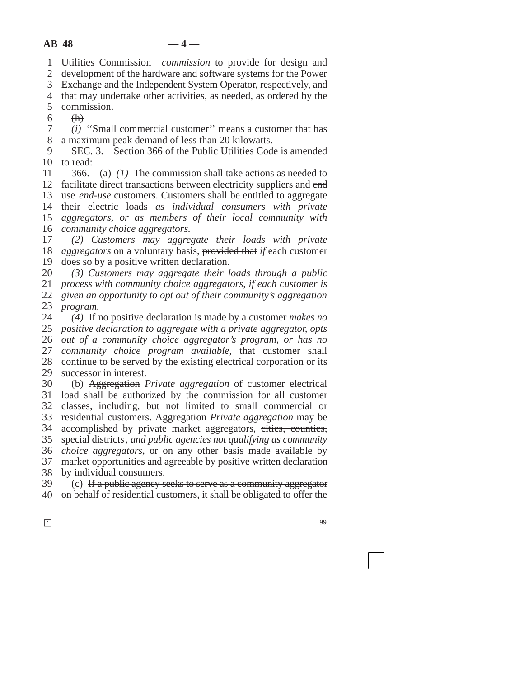1 Utilities Commission *commission* to provide for design and

2 development of the hardware and software systems for the Power

3 Exchange and the Independent System Operator, respectively, and

4 that may undertake other activities, as needed, as ordered by the

5 commission.

6 (h)

7 8 *(i)* ''Small commercial customer'' means a customer that has a maximum peak demand of less than 20 kilowatts.

9 10 to read: SEC. 3. Section 366 of the Public Utilities Code is amended

11 12 13 14 their electric loads *as individual consumers with private* 15 16 *community choice aggregators.* 366. (a) *(1)* The commission shall take actions as needed to facilitate direct transactions between electricity suppliers and end use *end-use* customers. Customers shall be entitled to aggregate *aggregators, or as members of their local community with*

17 18 *aggregators* on a voluntary basis, **provided that** *if* each customer 19 *(2) Customers may aggregate their loads with private* does so by a positive written declaration.

20 *(3) Customers may aggregate their loads through a public*

21 22 *process with community choice aggregators, if each customer is*

23 *given an opportunity to opt out of their community's aggregation program.*

24 25 *positive declaration to aggregate with a private aggregator, opts* 26 27 28 29 *(4)* If no positive declaration is made by a customer *makes no out of a community choice aggregator's program, or has no community choice program available*, that customer shall continue to be served by the existing electrical corporation or its successor in interest.

30 31 load shall be authorized by the commission for all customer 32 33 34 35 36 37 38 (b) Aggregation *Private aggregation* of customer electrical classes, including, but not limited to small commercial or residential customers. Aggregation *Private aggregation* may be accomplished by private market aggregators, cities, counties, special districts*, and public agencies not qualifying as community choice aggregators*, or on any other basis made available by market opportunities and agreeable by positive written declaration by individual consumers.

39 40 (c) If a public agency seeks to serve as a community aggregator on behalf of residential customers, it shall be obligated to offer the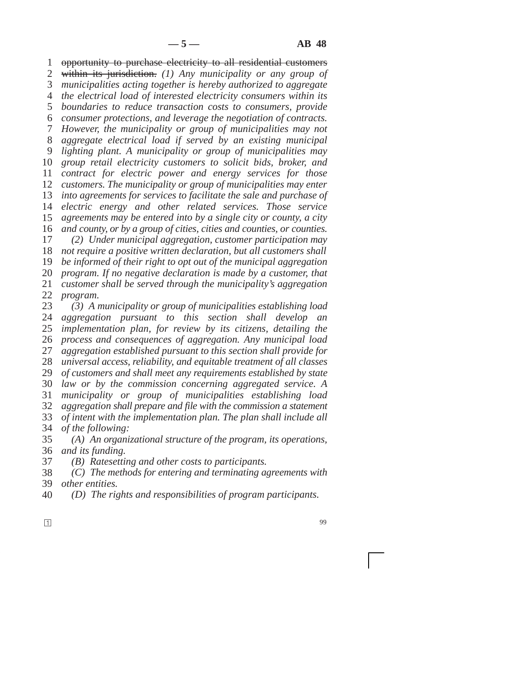1 2 3 *municipalities acting together is hereby authorized to aggregate* 4 *the electrical load of interested electricity consumers within its* 5 *boundaries to reduce transaction costs to consumers, provide* 6 7 8 9 10 11 12 13 14 15 16 17 18 *not require a positive written declaration, but all customers shall* 19 20 21 22 23 24 25 26 27 28 29 30 31 opportunity to purchase electricity to all residential customers within its jurisdiction. *(1) Any municipality or any group of consumer protections, and leverage the negotiation of contracts. However, the municipality or group of municipalities may not aggregate electrical load if served by an existing municipal lighting plant. A municipality or group of municipalities may group retail electricity customers to solicit bids, broker, and contract for electric power and energy services for those customers. The municipality or group of municipalities may enter into agreements for services to facilitate the sale and purchase of electric energy and other related services. Those service agreements may be entered into by a single city or county, a city and county, or by a group of cities, cities and counties, or counties. (2) Under municipal aggregation, customer participation may be informed of their right to opt out of the municipal aggregation program. If no negative declaration is made by a customer, that customer shall be served through the municipality's aggregation program. (3) A municipality or group of municipalities establishing load aggregation pursuant to this section shall develop an implementation plan, for review by its citizens, detailing the process and consequences of aggregation. Any municipal load aggregation established pursuant to this section shall provide for universal access, reliability, and equitable treatment of all classes of customers and shall meet any requirements established by state law or by the commission concerning aggregated service. A municipality or group of municipalities establishing load*

32 33 34 *aggregation shall prepare and file with the commission a statement of intent with the implementation plan. The plan shall include all of the following:*

35 36 *(A) An organizational structure of the program, its operations, and its funding.*

37 *(B) Ratesetting and other costs to participants.*

38 39 *(C) The methods for entering and terminating agreements with other entities.*

- 40 *(D) The rights and responsibilities of program participants.*
- **1**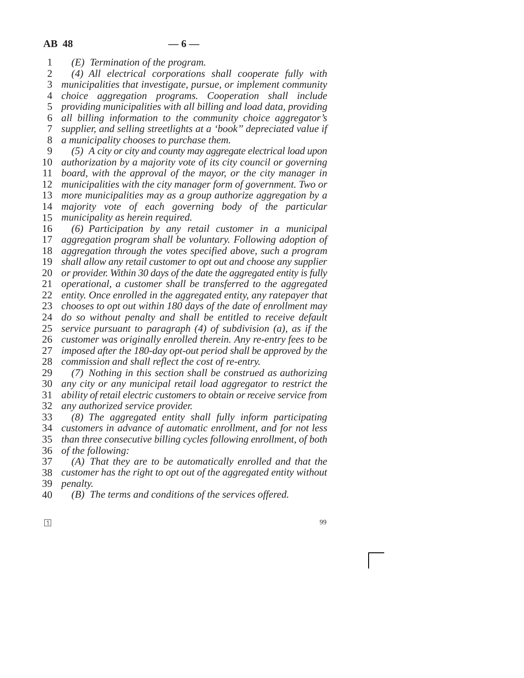1 *(E) Termination of the program.*

2 3 4 5 6 7 8 *(4) All electrical corporations shall cooperate fully with municipalities that investigate, pursue, or implement community choice aggregation programs. Cooperation shall include providing municipalities with all billing and load data, providing all billing information to the community choice aggregator's supplier, and selling streetlights at a 'book'' depreciated value if a municipality chooses to purchase them.*

9 10 *authorization by a majority vote of its city council or governing* 11 12 13 14 15 *(5) A city or city and county may aggregate electrical load upon board, with the approval of the mayor, or the city manager in municipalities with the city manager form of government. Two or more municipalities may as a group authorize aggregation by a majority vote of each governing body of the particular municipality as herein required.*

16 17 18 19 20 21 22 23 24 25 26 27 28 29 *(6) Participation by any retail customer in a municipal aggregation program shall be voluntary. Following adoption of aggregation through the votes specified above, such a program shall allow any retail customer to opt out and choose any supplier or provider. Within 30 days of the date the aggregated entity is fully operational, a customer shall be transferred to the aggregated entity. Once enrolled in the aggregated entity, any ratepayer that chooses to opt out within 180 days of the date of enrollment may do so without penalty and shall be entitled to receive default service pursuant to paragraph (4) of subdivision (a), as if the customer was originally enrolled therein. Any re-entry fees to be imposed after the 180-day opt-out period shall be approved by the commission and shall reflect the cost of re-entry. (7) Nothing in this section shall be construed as authorizing*

30 31 32 *any city or any municipal retail load aggregator to restrict the ability of retail electric customers to obtain or receive service from any authorized service provider.*

33 34 *customers in advance of automatic enrollment, and for not less* 35 36 *(8) The aggregated entity shall fully inform participating than three consecutive billing cycles following enrollment, of both of the following:*

37 38 39 *(A) That they are to be automatically enrolled and that the customer has the right to opt out of the aggregated entity without penalty.*

40 *(B) The terms and conditions of the services offered.*

**1**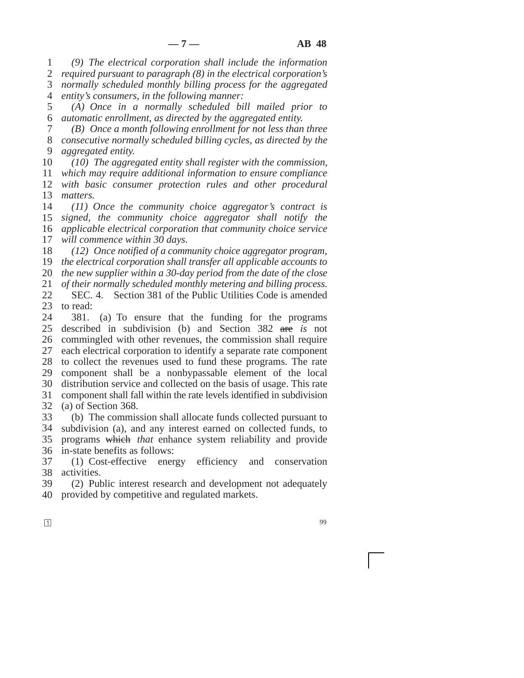1 2 3 4 *(9) The electrical corporation shall include the information required pursuant to paragraph (8) in the electrical corporation's normally scheduled monthly billing process for the aggregated entity's consumers, in the following manner:*

5 6 *(A) Once in a normally scheduled bill mailed prior to automatic enrollment, as directed by the aggregated entity.*

7 8 9 *(B) Once a month following enrollment for not less than three consecutive normally scheduled billing cycles, as directed by the aggregated entity.*

10 11 12 *(10) The aggregated entity shall register with the commission, which may require additional information to ensure compliance with basic consumer protection rules and other procedural*

13 14 *matters. (11) Once the community choice aggregator's contract is*

15 16 17 *signed, the community choice aggregator shall notify the applicable electrical corporation that community choice service will commence within 30 days.*

18 19 20 *(12) Once notified of a community choice aggregator program, the electrical corporation shall transfer all applicable accounts to the new supplier within a 30-day period from the date of the close*

21 22 23 *of their normally scheduled monthly metering and billing process.* SEC. 4. Section 381 of the Public Utilities Code is amended to read:

24 25 26 27 28 29 30 31 32 381. (a) To ensure that the funding for the programs described in subdivision (b) and Section 382 are *is* not commingled with other revenues, the commission shall require each electrical corporation to identify a separate rate component to collect the revenues used to fund these programs. The rate component shall be a nonbypassable element of the local distribution service and collected on the basis of usage. This rate component shall fall within the rate levels identified in subdivision (a) of Section 368.

33 34 35 36 (b) The commission shall allocate funds collected pursuant to subdivision (a), and any interest earned on collected funds, to programs which *that* enhance system reliability and provide in-state benefits as follows:

37 38 (1) Cost-effective energy efficiency and conservation activities.

39 40 (2) Public interest research and development not adequately provided by competitive and regulated markets.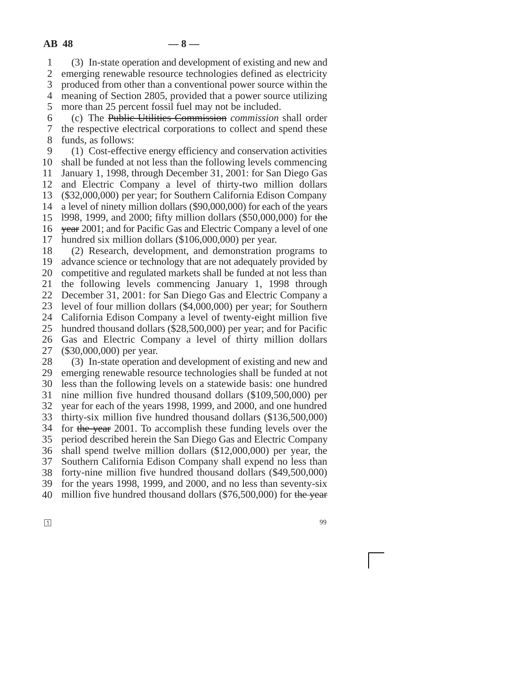1 2 3 4 5 (3) In-state operation and development of existing and new and emerging renewable resource technologies defined as electricity produced from other than a conventional power source within the meaning of Section 2805, provided that a power source utilizing more than 25 percent fossil fuel may not be included.

6 7 8 (c) The Public Utilities Commission *commission* shall order the respective electrical corporations to collect and spend these funds, as follows:

9 10 11 12 13 14 15 16 17 (1) Cost-effective energy efficiency and conservation activities shall be funded at not less than the following levels commencing January 1, 1998, through December 31, 2001: for San Diego Gas and Electric Company a level of thirty-two million dollars (\$32,000,000) per year; for Southern California Edison Company a level of ninety million dollars (\$90,000,000) for each of the years l998, 1999, and 2000; fifty million dollars (\$50,000,000) for the year 2001; and for Pacific Gas and Electric Company a level of one hundred six million dollars (\$106,000,000) per year.

18 19 20 21 22 23 24 25 26 27 28 (2) Research, development, and demonstration programs to advance science or technology that are not adequately provided by competitive and regulated markets shall be funded at not less than the following levels commencing January 1, 1998 through December 31, 2001: for San Diego Gas and Electric Company a level of four million dollars (\$4,000,000) per year; for Southern California Edison Company a level of twenty-eight million five hundred thousand dollars (\$28,500,000) per year; and for Pacific Gas and Electric Company a level of thirty million dollars (\$30,000,000) per year. (3) In-state operation and development of existing and new and

29 30 31 32 33 34 35 36 37 38 39 40 emerging renewable resource technologies shall be funded at not less than the following levels on a statewide basis: one hundred nine million five hundred thousand dollars (\$109,500,000) per year for each of the years 1998, 1999, and 2000, and one hundred thirty-six million five hundred thousand dollars (\$136,500,000) for the year 2001. To accomplish these funding levels over the period described herein the San Diego Gas and Electric Company shall spend twelve million dollars (\$12,000,000) per year, the Southern California Edison Company shall expend no less than forty-nine million five hundred thousand dollars (\$49,500,000) for the years 1998, 1999, and 2000, and no less than seventy-six million five hundred thousand dollars  $(\$76,500,000)$  for the year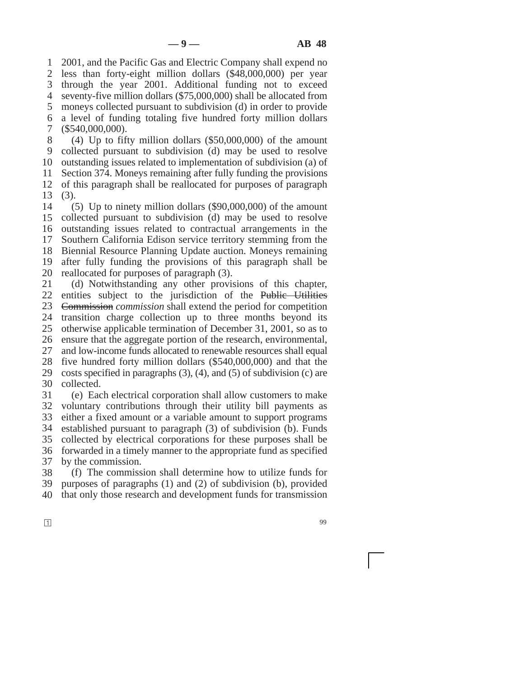1 2 3 4 5 6 7 8 2001, and the Pacific Gas and Electric Company shall expend no less than forty-eight million dollars (\$48,000,000) per year through the year 2001. Additional funding not to exceed seventy-five million dollars (\$75,000,000) shall be allocated from moneys collected pursuant to subdivision (d) in order to provide a level of funding totaling five hundred forty million dollars (\$540,000,000). (4) Up to fifty million dollars (\$50,000,000) of the amount

9 10 11 12 13 collected pursuant to subdivision (d) may be used to resolve outstanding issues related to implementation of subdivision (a) of Section 374. Moneys remaining after fully funding the provisions of this paragraph shall be reallocated for purposes of paragraph (3).

14 15 16 17 18 19 20 (5) Up to ninety million dollars (\$90,000,000) of the amount collected pursuant to subdivision (d) may be used to resolve outstanding issues related to contractual arrangements in the Southern California Edison service territory stemming from the Biennial Resource Planning Update auction. Moneys remaining after fully funding the provisions of this paragraph shall be reallocated for purposes of paragraph (3).

21 22 23 24 25 26 27 28 29 30 31 (d) Notwithstanding any other provisions of this chapter, entities subject to the jurisdiction of the Public Utilities Commission *commission* shall extend the period for competition transition charge collection up to three months beyond its otherwise applicable termination of December 31, 2001, so as to ensure that the aggregate portion of the research, environmental, and low-income funds allocated to renewable resources shall equal five hundred forty million dollars (\$540,000,000) and that the costs specified in paragraphs (3), (4), and (5) of subdivision (c) are collected.

32 33 34 35 36 37 (e) Each electrical corporation shall allow customers to make voluntary contributions through their utility bill payments as either a fixed amount or a variable amount to support programs established pursuant to paragraph (3) of subdivision (b). Funds collected by electrical corporations for these purposes shall be forwarded in a timely manner to the appropriate fund as specified by the commission.

38 39 40 (f) The commission shall determine how to utilize funds for purposes of paragraphs (1) and (2) of subdivision (b), provided that only those research and development funds for transmission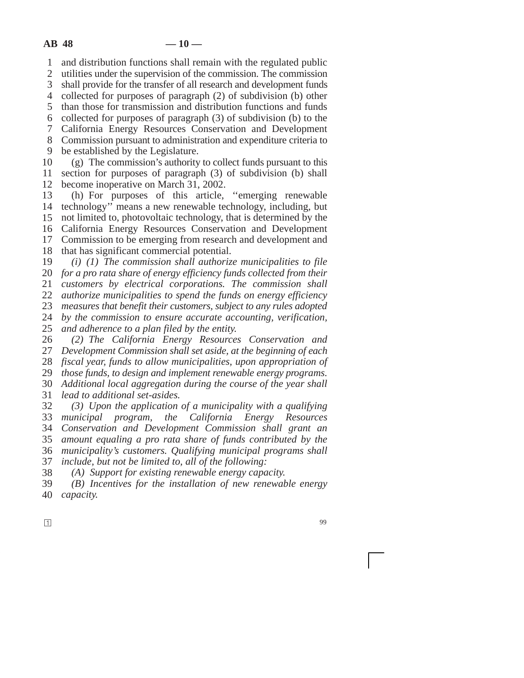1 and distribution functions shall remain with the regulated public

2 utilities under the supervision of the commission. The commission

3 shall provide for the transfer of all research and development funds

4 collected for purposes of paragraph (2) of subdivision (b) other

5 than those for transmission and distribution functions and funds

6 7 collected for purposes of paragraph (3) of subdivision (b) to the

8 California Energy Resources Conservation and Development Commission pursuant to administration and expenditure criteria to

9 be established by the Legislature.

10 11 12 (g) The commission's authority to collect funds pursuant to this section for purposes of paragraph (3) of subdivision (b) shall become inoperative on March 31, 2002.

13 14 15 16 17 (h) For purposes of this article, ''emerging renewable technology'' means a new renewable technology, including, but not limited to, photovoltaic technology, that is determined by the California Energy Resources Conservation and Development Commission to be emerging from research and development and

18 that has significant commercial potential.

19 *(i) (1) The commission shall authorize municipalities to file*

20 21 *for a pro rata share of energy efficiency funds collected from their customers by electrical corporations. The commission shall*

22 *authorize municipalities to spend the funds on energy efficiency*

23 *measures that benefit their customers, subject to any rules adopted*

24 *by the commission to ensure accurate accounting, verification,*

25 *and adherence to a plan filed by the entity.*

26 27 *(2) The California Energy Resources Conservation and Development Commission shall set aside, at the beginning of each*

28 *fiscal year, funds to allow municipalities, upon appropriation of*

29 *those funds, to design and implement renewable energy programs.*

30 *Additional local aggregation during the course of the year shall*

31 *lead to additional set-asides.*

32 33 34 35 36 *(3) Upon the application of a municipality with a qualifying municipal program, the California Energy Resources Conservation and Development Commission shall grant an amount equaling a pro rata share of funds contributed by the municipality's customers. Qualifying municipal programs shall*

37 *include, but not be limited to, all of the following:*

38 *(A) Support for existing renewable energy capacity.*

39 40 *(B) Incentives for the installation of new renewable energy capacity.*